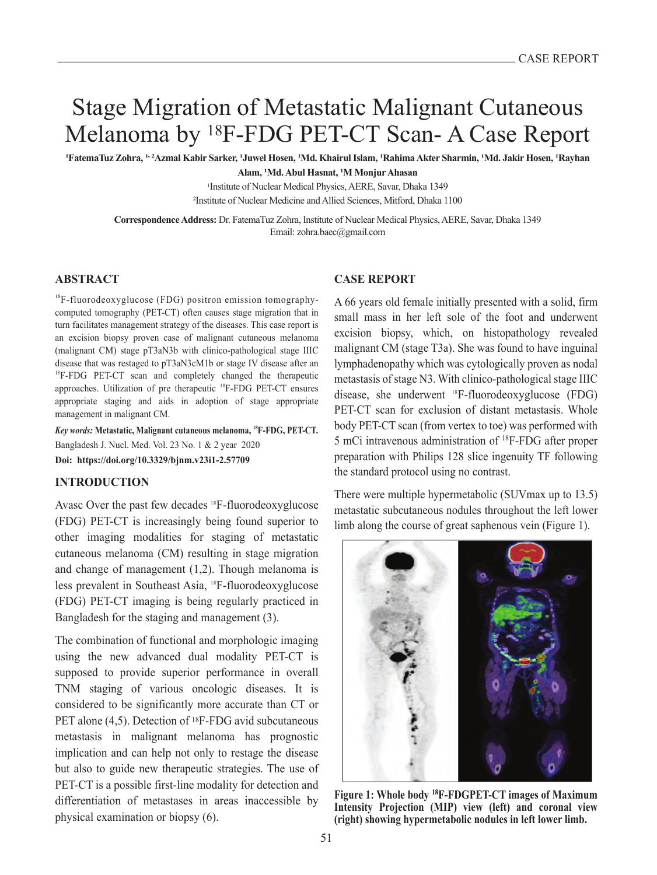# Stage Migration of Metastatic Malignant Cutaneous Melanoma by 18F-FDG PET-CT Scan- A Case Report

'FatemaTuz Zohra, '''Azmal Kabir Sarker, 'Juwel Hosen, 'Md. Khairul Islam, 'Rahima Akter Sharmin, 'Md. Jakir Hosen, 'Rayhan **Alam, <sup>1</sup>Md. Abul Hasnat, <sup>1</sup>M Monjur Ahasan**

> 1Institute of Nuclear Medical Physics, AERE, Savar, Dhaka 1349 <sup>2</sup>Institute of Nuclear Medicine and Allied Sciences, Mitford, Dhaka 1100

**Correspondence Address:** Dr. FatemaTuz Zohra, Institute of Nuclear Medical Physics, AERE, Savar, Dhaka 1349 Email: zohra.baec@gmail.com

# **ABSTRACT**

<sup>18</sup>F-fluorodeoxyglucose (FDG) positron emission tomographycomputed tomography (PET-CT) often causes stage migration that in turn facilitates management strategy of the diseases. This case report is an excision biopsy proven case of malignant cutaneous melanoma (malignant CM) stage pT3aN3b with clinico-pathological stage IIIC disease that was restaged to pT3aN3cM1b or stage IV disease after an <sup>18</sup>F-FDG PET-CT scan and completely changed the therapeutic approaches. Utilization of pre therapeutic 18F-FDG PET-CT ensures appropriate staging and aids in adoption of stage appropriate management in malignant CM.

*Key words:* **Metastatic, Malignant cutaneous melanoma, 18F-FDG, PET-CT.** Bangladesh J. Nucl. Med. Vol. 23 No. 1 & 2 year 2020 **Doi: https://doi.org/10.3329/bjnm.v23i1-2.57709**

#### **INTRODUCTION**

Avasc Over the past few decades <sup>18</sup>F-fluorodeoxyglucose (FDG) PET-CT is increasingly being found superior to other imaging modalities for staging of metastatic cutaneous melanoma (CM) resulting in stage migration and change of management (1,2). Though melanoma is less prevalent in Southeast Asia, 18F-fluorodeoxyglucose (FDG) PET-CT imaging is being regularly practiced in Bangladesh for the staging and management (3).

The combination of functional and morphologic imaging using the new advanced dual modality PET-CT is supposed to provide superior performance in overall TNM staging of various oncologic diseases. It is considered to be significantly more accurate than CT or PET alone (4,5). Detection of <sup>18</sup>F-FDG avid subcutaneous metastasis in malignant melanoma has prognostic implication and can help not only to restage the disease but also to guide new therapeutic strategies. The use of PET-CT is a possible first-line modality for detection and differentiation of metastases in areas inaccessible by physical examination or biopsy (6).

#### **CASE REPORT**

A 66 years old female initially presented with a solid, firm small mass in her left sole of the foot and underwent excision biopsy, which, on histopathology revealed malignant CM (stage T3a). She was found to have inguinal lymphadenopathy which was cytologically proven as nodal metastasis of stage N3. With clinico-pathological stage IIIC disease, she underwent <sup>18</sup>F-fluorodeoxyglucose (FDG) PET-CT scan for exclusion of distant metastasis. Whole body PET-CT scan (from vertex to toe) was performed with 5 mCi intravenous administration of <sup>18</sup>F-FDG after proper preparation with Philips 128 slice ingenuity TF following the standard protocol using no contrast.

There were multiple hypermetabolic (SUVmax up to 13.5) metastatic subcutaneous nodules throughout the left lower limb along the course of great saphenous vein (Figure 1).



**Figure 1: Whole body 18F-FDGPET-CT images of Maximum Intensity Projection (MIP) view (left) and coronal view (right) showing hypermetabolic nodules in left lower limb.**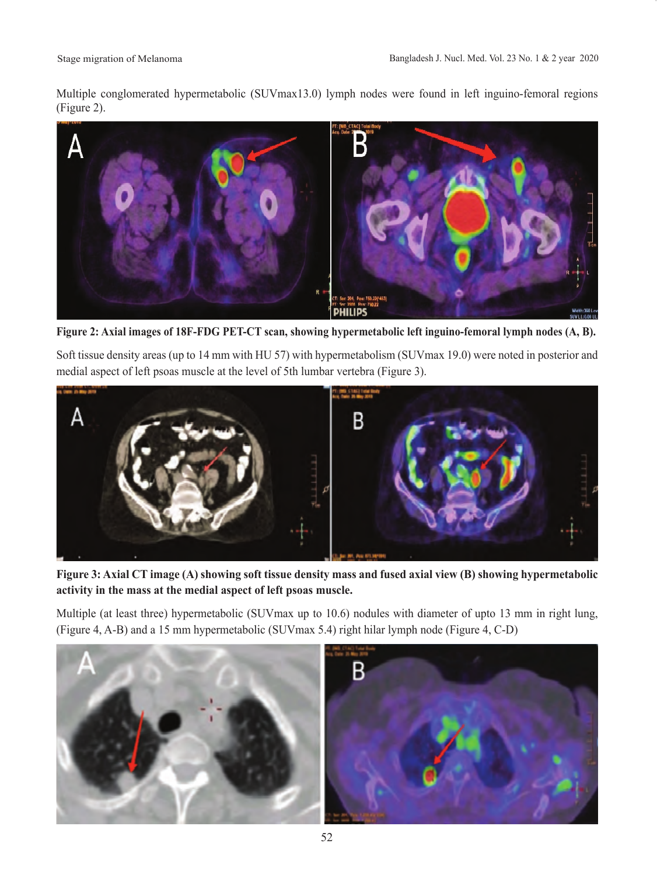Multiple conglomerated hypermetabolic (SUVmax13.0) lymph nodes were found in left inguino-femoral regions (Figure 2).



**Figure 2: Axial images of 18F-FDG PET-CT scan, showing hypermetabolic left inguino-femoral lymph nodes (A, B).**

Soft tissue density areas (up to 14 mm with HU 57) with hypermetabolism (SUVmax 19.0) were noted in posterior and medial aspect of left psoas muscle at the level of 5th lumbar vertebra (Figure 3).



**Figure 3: Axial CT image (A) showing soft tissue density mass and fused axial view (B) showing hypermetabolic activity in the mass at the medial aspect of left psoas muscle.**

Multiple (at least three) hypermetabolic (SUVmax up to 10.6) nodules with diameter of upto 13 mm in right lung, (Figure 4, A-B) and a 15 mm hypermetabolic (SUVmax 5.4) right hilar lymph node (Figure 4, C-D)

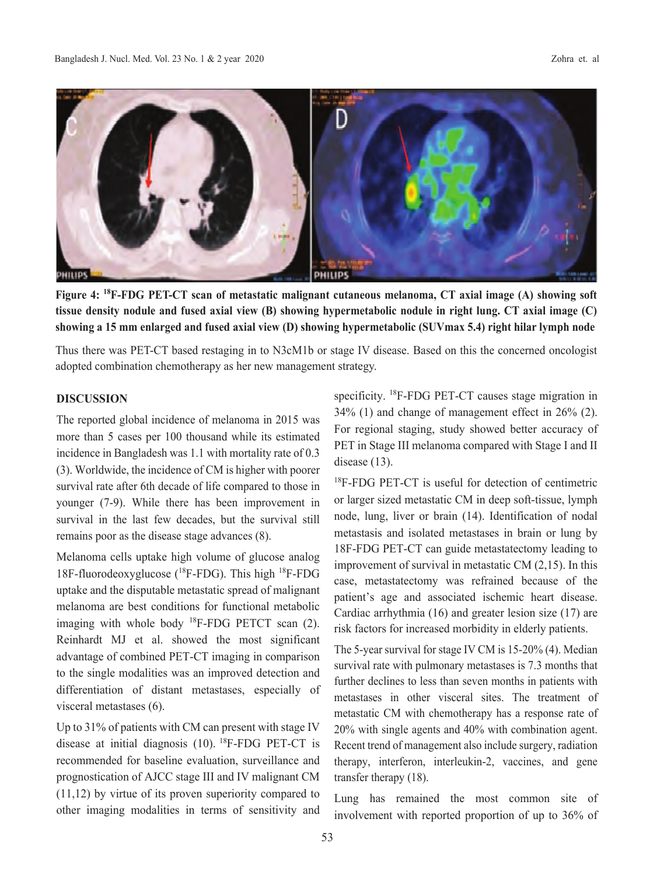

**Figure 4: 18F-FDG PET-CT scan of metastatic malignant cutaneous melanoma, CT axial image (A) showing soft tissue density nodule and fused axial view (B) showing hypermetabolic nodule in right lung. CT axial image (C) showing a 15 mm enlarged and fused axial view (D) showing hypermetabolic (SUVmax 5.4) right hilar lymph node**

Thus there was PET-CT based restaging in to N3cM1b or stage IV disease. Based on this the concerned oncologist adopted combination chemotherapy as her new management strategy.

#### **DISCUSSION**

The reported global incidence of melanoma in 2015 was more than 5 cases per 100 thousand while its estimated incidence in Bangladesh was 1.1 with mortality rate of 0.3 (3). Worldwide, the incidence of CM is higher with poorer survival rate after 6th decade of life compared to those in younger (7-9). While there has been improvement in survival in the last few decades, but the survival still remains poor as the disease stage advances (8).

Melanoma cells uptake high volume of glucose analog 18F-fluorodeoxyglucose  $(^{18}F\text{-FDG})$ . This high  $^{18}F\text{-FDG}$ uptake and the disputable metastatic spread of malignant melanoma are best conditions for functional metabolic imaging with whole body  $^{18}$ F-FDG PETCT scan (2). Reinhardt MJ et al. showed the most significant advantage of combined PET-CT imaging in comparison to the single modalities was an improved detection and differentiation of distant metastases, especially of visceral metastases (6).

Up to 31% of patients with CM can present with stage IV disease at initial diagnosis  $(10)$ . <sup>18</sup>F-FDG PET-CT is recommended for baseline evaluation, surveillance and prognostication of AJCC stage III and IV malignant CM (11,12) by virtue of its proven superiority compared to other imaging modalities in terms of sensitivity and specificity. 18F-FDG PET-CT causes stage migration in 34% (1) and change of management effect in 26% (2). For regional staging, study showed better accuracy of PET in Stage III melanoma compared with Stage I and II disease (13).

<sup>18</sup>F-FDG PET-CT is useful for detection of centimetric or larger sized metastatic CM in deep soft-tissue, lymph node, lung, liver or brain (14). Identification of nodal metastasis and isolated metastases in brain or lung by 18F-FDG PET-CT can guide metastatectomy leading to improvement of survival in metastatic CM (2,15). In this case, metastatectomy was refrained because of the patient's age and associated ischemic heart disease. Cardiac arrhythmia (16) and greater lesion size (17) are risk factors for increased morbidity in elderly patients.

The 5-year survival for stage IV CM is 15-20% (4). Median survival rate with pulmonary metastases is 7.3 months that further declines to less than seven months in patients with metastases in other visceral sites. The treatment of metastatic CM with chemotherapy has a response rate of 20% with single agents and 40% with combination agent. Recent trend of management also include surgery, radiation therapy, interferon, interleukin-2, vaccines, and gene transfer therapy (18).

Lung has remained the most common site of involvement with reported proportion of up to 36% of